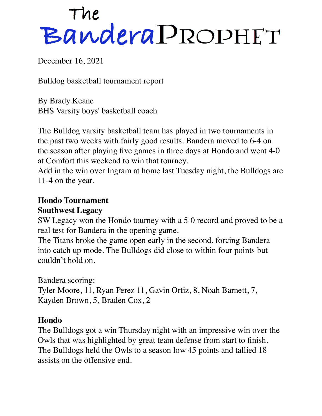# The<br>Bandera PROPHET

December 16, 2021

Bulldog basketball tournament report

By Brady Keane BHS Varsity boys' basketball coach

The Bulldog varsity basketball team has played in two tournaments in the past two weeks with fairly good results. Bandera moved to 6-4 on the season after playing five games in three days at Hondo and went 4-0 at Comfort this weekend to win that tourney.

Add in the win over Ingram at home last Tuesday night, the Bulldogs are 11-4 on the year.

# **Hondo Tournament**

#### **Southwest Legacy**

SW Legacy won the Hondo tourney with a 5-0 record and proved to be a real test for Bandera in the opening game.

The Titans broke the game open early in the second, forcing Bandera into catch up mode. The Bulldogs did close to within four points but couldn't hold on.

Bandera scoring:

Tyler Moore, 11, Ryan Perez 11, Gavin Ortiz, 8, Noah Barnett, 7, Kayden Brown, 5, Braden Cox, 2

# **Hondo**

The Bulldogs got a win Thursday night with an impressive win over the Owls that was highlighted by great team defense from start to finish. The Bulldogs held the Owls to a season low 45 points and tallied 18 assists on the offensive end.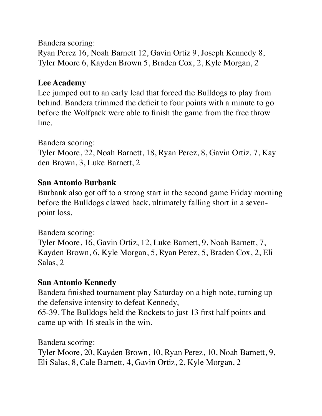Bandera scoring:

Ryan Perez 16, Noah Barnett 12, Gavin Ortiz 9, Joseph Kennedy 8, Tyler Moore 6, Kayden Brown 5, Braden Cox, 2, Kyle Morgan, 2

## **Lee Academy**

Lee jumped out to an early lead that forced the Bulldogs to play from behind. Bandera trimmed the deficit to four points with a minute to go before the Wolfpack were able to finish the game from the free throw line.

## Bandera scoring:

Tyler Moore, 22, Noah Barnett, 18, Ryan Perez, 8, Gavin Ortiz. 7, Kay den Brown, 3, Luke Barnett, 2

#### **San Antonio Burbank**

Burbank also got off to a strong start in the second game Friday morning before the Bulldogs clawed back, ultimately falling short in a sevenpoint loss.

#### Bandera scoring:

Tyler Moore, 16, Gavin Ortiz, 12, Luke Barnett, 9, Noah Barnett, 7, Kayden Brown, 6, Kyle Morgan, 5, Ryan Perez, 5, Braden Cox, 2, Eli Salas, 2

# **San Antonio Kennedy**

Bandera finished tournament play Saturday on a high note, turning up the defensive intensity to defeat Kennedy,

65-39. The Bulldogs held the Rockets to just 13 first half points and came up with 16 steals in the win.

Bandera scoring:

Tyler Moore, 20, Kayden Brown, 10, Ryan Perez, 10, Noah Barnett, 9, Eli Salas, 8, Cale Barnett, 4, Gavin Ortiz, 2, Kyle Morgan, 2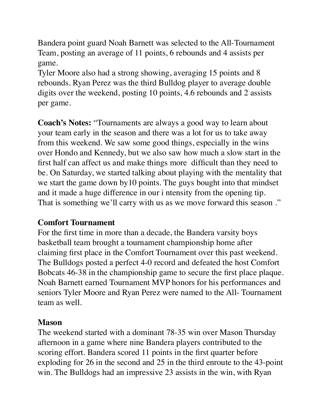Bandera point guard Noah Barnett was selected to the All-Tournament Team, posting an average of 11 points, 6 rebounds and 4 assists per game.

Tyler Moore also had a strong showing, averaging 15 points and 8 rebounds. Ryan Perez was the third Bulldog player to average double digits over the weekend, posting 10 points, 4.6 rebounds and 2 assists per game.

**Coach's Notes:** "Tournaments are always a good way to learn about your team early in the season and there was a lot for us to take away from this weekend. We saw some good things, especially in the wins over Hondo and Kennedy, but we also saw how much a slow start in the first half can affect us and make things more difficult than they need to be. On Saturday, we started talking about playing with the mentality that we start the game down by10 points. The guys bought into that mindset and it made a huge difference in our i ntensity from the opening tip. That is something we'll carry with us as we move forward this season ."

#### **Comfort Tournament**

For the first time in more than a decade, the Bandera varsity boys basketball team brought a tournament championship home after claiming first place in the Comfort Tournament over this past weekend. The Bulldogs posted a perfect 4-0 record and defeated the host Comfort Bobcats 46-38 in the championship game to secure the first place plaque. Noah Barnett earned Tournament MVP honors for his performances and seniors Tyler Moore and Ryan Perez were named to the All- Tournament team as well.

#### **Mason**

The weekend started with a dominant 78-35 win over Mason Thursday afternoon in a game where nine Bandera players contributed to the scoring effort. Bandera scored 11 points in the first quarter before exploding for 26 in the second and 25 in the third enroute to the 43-point win. The Bulldogs had an impressive 23 assists in the win, with Ryan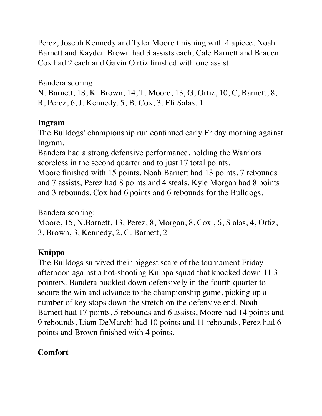Perez, Joseph Kennedy and Tyler Moore finishing with 4 apiece. Noah Barnett and Kayden Brown had 3 assists each, Cale Barnett and Braden Cox had 2 each and Gavin O rtiz finished with one assist.

Bandera scoring:

N. Barnett, 18, K. Brown, 14, T. Moore, 13, G, Ortiz, 10, C, Barnett, 8, R, Perez, 6, J. Kennedy, 5, B. Cox, 3, Eli Salas, 1

#### **Ingram**

The Bulldogs' championship run continued early Friday morning against Ingram.

Bandera had a strong defensive performance, holding the Warriors scoreless in the second quarter and to just 17 total points.

Moore finished with 15 points, Noah Barnett had 13 points, 7 rebounds and 7 assists, Perez had 8 points and 4 steals, Kyle Morgan had 8 points and 3 rebounds, Cox had 6 points and 6 rebounds for the Bulldogs.

Bandera scoring:

Moore, 15, N.Barnett, 13, Perez, 8, Morgan, 8, Cox , 6, S alas, 4, Ortiz, 3, Brown, 3, Kennedy, 2, C. Barnett, 2

# **Knippa**

The Bulldogs survived their biggest scare of the tournament Friday afternoon against a hot-shooting Knippa squad that knocked down 11 3– pointers. Bandera buckled down defensively in the fourth quarter to secure the win and advance to the championship game, picking up a number of key stops down the stretch on the defensive end. Noah Barnett had 17 points, 5 rebounds and 6 assists, Moore had 14 points and 9 rebounds, Liam DeMarchi had 10 points and 11 rebounds, Perez had 6 points and Brown finished with 4 points.

# **Comfort**